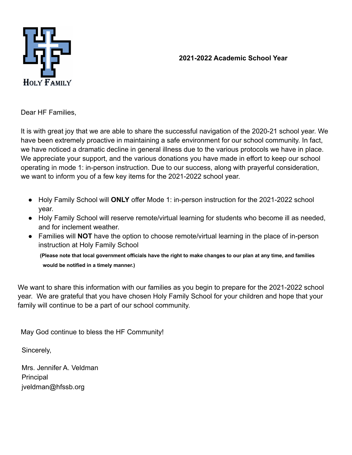**2021-2022 Academic School Year**



Dear HF Families,

It is with great joy that we are able to share the successful navigation of the 2020-21 school year. We have been extremely proactive in maintaining a safe environment for our school community. In fact, we have noticed a dramatic decline in general illness due to the various protocols we have in place. We appreciate your support, and the various donations you have made in effort to keep our school operating in mode 1: in-person instruction. Due to our success, along with prayerful consideration, we want to inform you of a few key items for the 2021-2022 school year.

- Holy Family School will **ONLY** offer Mode 1: in-person instruction for the 2021-2022 school year.
- Holy Family School will reserve remote/virtual learning for students who become ill as needed, and for inclement weather.
- Families will **NOT** have the option to choose remote/virtual learning in the place of in-person instruction at Holy Family School

**(Please note that local government officials have the right to make changes to our plan at any time, and families would be notified in a timely manner.)**

We want to share this information with our families as you begin to prepare for the 2021-2022 school year. We are grateful that you have chosen Holy Family School for your children and hope that your family will continue to be a part of our school community.

May God continue to bless the HF Community!

Sincerely,

Mrs. Jennifer A. Veldman Principal jveldman@hfssb.org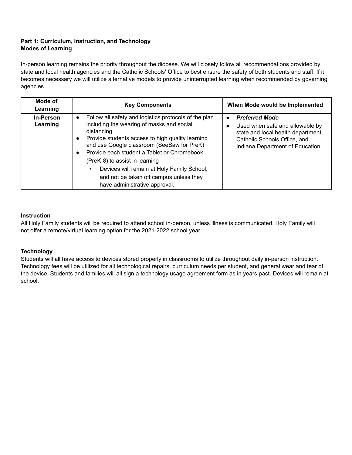## **Part 1: Curriculum, Instruction, and Technology Modes of Learning**

In-person learning remains the priority throughout the diocese. We will closely follow all recommendations provided by state and local health agencies and the Catholic Schools' Office to best ensure the safety of both students and staff. If it becomes necessary we will utilize alternative models to provide uninterrupted learning when recommended by governing agencies.

| Mode of<br>Learning          | <b>Key Components</b>                                                                                                                                                                                                                                                                                                                                                                                                                      | When Mode would be Implemented                                                                                                                                    |
|------------------------------|--------------------------------------------------------------------------------------------------------------------------------------------------------------------------------------------------------------------------------------------------------------------------------------------------------------------------------------------------------------------------------------------------------------------------------------------|-------------------------------------------------------------------------------------------------------------------------------------------------------------------|
| <b>In-Person</b><br>Learning | Follow all safety and logistics protocols of the plan<br>$\bullet$<br>including the wearing of masks and social<br>distancing<br>Provide students access to high quality learning<br>and use Google classroom (SeeSaw for PreK)<br>Provide each student a Tablet or Chromebook<br>(PreK-8) to assist in learning<br>Devices will remain at Holy Family School,<br>and not be taken off campus unless they<br>have administrative approval. | <b>Preferred Mode</b><br>Used when safe and allowable by<br>state and local health department,<br>Catholic Schools Office, and<br>Indiana Department of Education |

### **Instruction**

All Holy Family students will be required to attend school in-person, unless illness is communicated. Holy Family will not offer a remote/virtual learning option for the 2021-2022 school year.

### **Technology**

Students will all have access to devices stored properly in classrooms to utilize throughout daily in-person instruction. Technology fees will be utilized for all technological repairs, curriculum needs per student, and general wear and tear of the device. Students and families will all sign a technology usage agreement form as in years past. Devices will remain at school.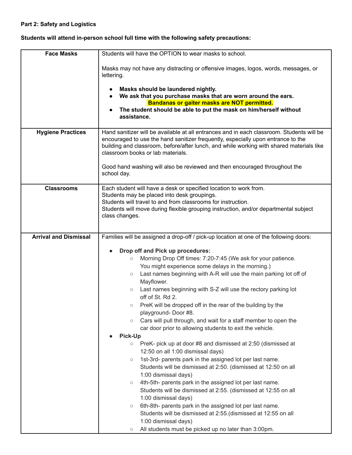# **Part 2: Safety and Logistics**

# **Students will attend in-person school full time with the following safety precautions:**

| <b>Face Masks</b>            | Students will have the OPTION to wear masks to school.                                                                                                                                                                                                                                                         |
|------------------------------|----------------------------------------------------------------------------------------------------------------------------------------------------------------------------------------------------------------------------------------------------------------------------------------------------------------|
|                              | Masks may not have any distracting or offensive images, logos, words, messages, or<br>lettering.                                                                                                                                                                                                               |
|                              | Masks should be laundered nightly.                                                                                                                                                                                                                                                                             |
|                              | We ask that you purchase masks that are worn around the ears.                                                                                                                                                                                                                                                  |
|                              | Bandanas or gaiter masks are NOT permitted.<br>The student should be able to put the mask on him/herself without                                                                                                                                                                                               |
|                              | assistance.                                                                                                                                                                                                                                                                                                    |
|                              |                                                                                                                                                                                                                                                                                                                |
| <b>Hygiene Practices</b>     | Hand sanitizer will be available at all entrances and in each classroom. Students will be<br>encouraged to use the hand sanitizer frequently, especially upon entrance to the<br>building and classroom, before/after lunch, and while working with shared materials like<br>classroom books or lab materials. |
|                              | Good hand washing will also be reviewed and then encouraged throughout the<br>school day.                                                                                                                                                                                                                      |
| <b>Classrooms</b>            | Each student will have a desk or specified location to work from.                                                                                                                                                                                                                                              |
|                              | Students may be placed into desk groupings.<br>Students will travel to and from classrooms for instruction.                                                                                                                                                                                                    |
|                              | Students will move during flexible grouping instruction, and/or departmental subject                                                                                                                                                                                                                           |
|                              | class changes.                                                                                                                                                                                                                                                                                                 |
|                              |                                                                                                                                                                                                                                                                                                                |
| <b>Arrival and Dismissal</b> | Families will be assigned a drop-off / pick-up location at one of the following doors:                                                                                                                                                                                                                         |
|                              |                                                                                                                                                                                                                                                                                                                |
|                              | Drop off and Pick up procedures:                                                                                                                                                                                                                                                                               |
|                              | Morning Drop Off times: 7:20-7:45 (We ask for your patience.<br>$\circ$                                                                                                                                                                                                                                        |
|                              | You might experience some delays in the morning.)<br>Last names beginning with A-R will use the main parking lot off of<br>$\circlearrowright$                                                                                                                                                                 |
|                              | Mayflower.                                                                                                                                                                                                                                                                                                     |
|                              | Last names beginning with S-Z will use the rectory parking lot<br>$\circlearrowright$                                                                                                                                                                                                                          |
|                              | off of St. Rd 2.                                                                                                                                                                                                                                                                                               |
|                              | PreK will be dropped off in the rear of the building by the<br>$\circ$                                                                                                                                                                                                                                         |
|                              | playground-Door #8.                                                                                                                                                                                                                                                                                            |
|                              | Cars will pull through, and wait for a staff member to open the<br>$\circ$                                                                                                                                                                                                                                     |
|                              | car door prior to allowing students to exit the vehicle.                                                                                                                                                                                                                                                       |
|                              | <b>Pick-Up</b>                                                                                                                                                                                                                                                                                                 |
|                              | PreK- pick up at door #8 and dismissed at 2:50 (dismissed at<br>$\circ$<br>12:50 on all 1:00 dismissal days)                                                                                                                                                                                                   |
|                              | 1st-3rd- parents park in the assigned lot per last name.<br>$\bigcirc$                                                                                                                                                                                                                                         |
|                              | Students will be dismissed at 2:50. (dismissed at 12:50 on all                                                                                                                                                                                                                                                 |
|                              | 1:00 dismissal days)                                                                                                                                                                                                                                                                                           |
|                              | 4th-5th- parents park in the assigned lot per last name.<br>$\circ$                                                                                                                                                                                                                                            |
|                              | Students will be dismissed at 2:55. (dismissed at 12:55 on all                                                                                                                                                                                                                                                 |
|                              | 1:00 dismissal days)                                                                                                                                                                                                                                                                                           |
|                              | 6th-8th- parents park in the assigned lot per last name.<br>$\bigcirc$                                                                                                                                                                                                                                         |
|                              | Students will be dismissed at 2:55. (dismissed at 12:55 on all                                                                                                                                                                                                                                                 |
|                              | 1:00 dismissal days)                                                                                                                                                                                                                                                                                           |
|                              | All students must be picked up no later than 3:00pm.<br>$\circ$                                                                                                                                                                                                                                                |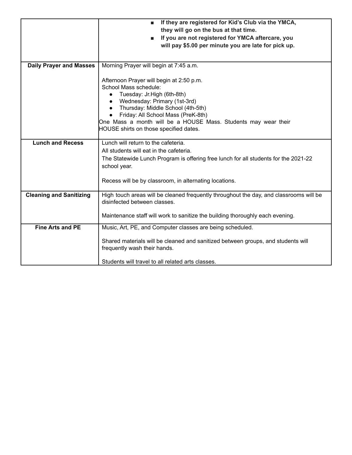|                                | If they are registered for Kid's Club via the YMCA,<br>ш<br>they will go on the bus at that time.<br>If you are not registered for YMCA aftercare, you<br>п                                                                                                                                                                         |  |
|--------------------------------|-------------------------------------------------------------------------------------------------------------------------------------------------------------------------------------------------------------------------------------------------------------------------------------------------------------------------------------|--|
|                                | will pay \$5.00 per minute you are late for pick up.                                                                                                                                                                                                                                                                                |  |
| <b>Daily Prayer and Masses</b> | Morning Prayer will begin at 7:45 a.m.                                                                                                                                                                                                                                                                                              |  |
|                                | Afternoon Prayer will begin at 2:50 p.m.<br>School Mass schedule:<br>Tuesday: Jr.High (6th-8th)<br>$\bullet$<br>Wednesday: Primary (1st-3rd)<br>Thursday: Middle School (4th-5th)<br>Friday: All School Mass (PreK-8th)<br>One Mass a month will be a HOUSE Mass. Students may wear their<br>HOUSE shirts on those specified dates. |  |
| <b>Lunch and Recess</b>        | Lunch will return to the cafeteria.<br>All students will eat in the cafeteria.                                                                                                                                                                                                                                                      |  |
|                                | The Statewide Lunch Program is offering free lunch for all students for the 2021-22<br>school year.                                                                                                                                                                                                                                 |  |
|                                | Recess will be by classroom, in alternating locations.                                                                                                                                                                                                                                                                              |  |
| <b>Cleaning and Sanitizing</b> | High touch areas will be cleaned frequently throughout the day, and classrooms will be<br>disinfected between classes.                                                                                                                                                                                                              |  |
|                                | Maintenance staff will work to sanitize the building thoroughly each evening.                                                                                                                                                                                                                                                       |  |
| <b>Fine Arts and PE</b>        | Music, Art, PE, and Computer classes are being scheduled.                                                                                                                                                                                                                                                                           |  |
|                                | Shared materials will be cleaned and sanitized between groups, and students will<br>frequently wash their hands.                                                                                                                                                                                                                    |  |
|                                | Students will travel to all related arts classes.                                                                                                                                                                                                                                                                                   |  |